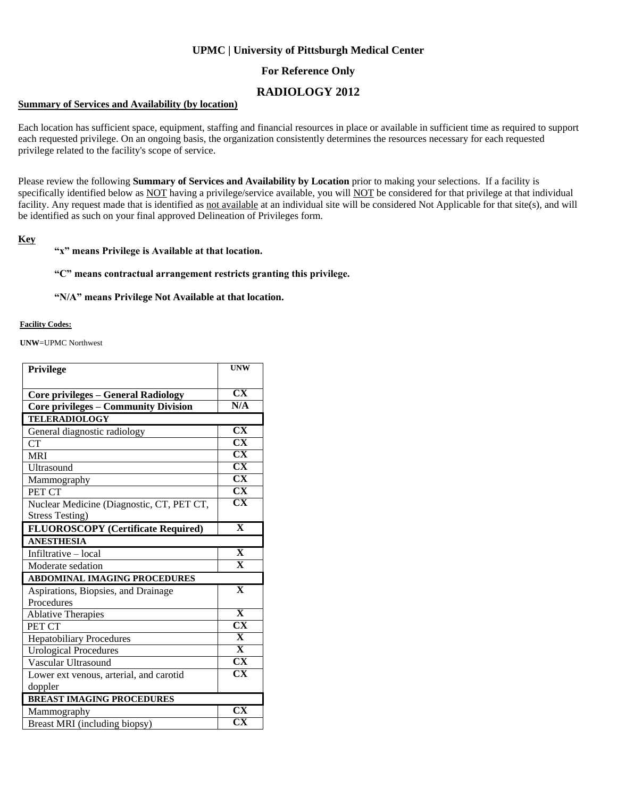## **UPMC | University of Pittsburgh Medical Center**

## **For Reference Only**

## **RADIOLOGY 2012**

#### **Summary of Services and Availability (by location)**

Each location has sufficient space, equipment, staffing and financial resources in place or available in sufficient time as required to support each requested privilege. On an ongoing basis, the organization consistently determines the resources necessary for each requested privilege related to the facility's scope of service.

Please review the following **Summary of Services and Availability by Location** prior to making your selections. If a facility is specifically identified below as NOT having a privilege/service available, you will NOT be considered for that privilege at that individual facility. Any request made that is identified as not available at an individual site will be considered Not Applicable for that site(s), and will be identified as such on your final approved Delineation of Privileges form.

#### **Key**

#### **"x" means Privilege is Available at that location.**

### **"C" means contractual arrangement restricts granting this privilege.**

#### **"N/A" means Privilege Not Available at that location.**

#### **Facility Codes:**

**UNW**=UPMC Northwest

| Privilege                                   | <b>UNW</b>                                       |
|---------------------------------------------|--------------------------------------------------|
|                                             |                                                  |
| <b>Core privileges - General Radiology</b>  | $\overline{\text{CX}}$                           |
| <b>Core privileges - Community Division</b> | N/A                                              |
| <b>TELERADIOLOGY</b>                        |                                                  |
| General diagnostic radiology                | $\overline{\text{CX}}$                           |
| CT                                          | $\overline{\text{CX}}$                           |
| <b>MRI</b>                                  | $\overline{\text{CX}}$                           |
| Ultrasound                                  | $\overline{\text{CX}}$                           |
| Mammography                                 | $\overline{\text{CX}}$                           |
| PET CT                                      | $\overline{\text{CX}}$                           |
| Nuclear Medicine (Diagnostic, CT, PET CT,   | $\overline{\text{CX}}$                           |
| <b>Stress Testing)</b>                      |                                                  |
| <b>FLUOROSCOPY</b> (Certificate Required)   | $\overline{\mathbf{X}}$                          |
| <b>ANESTHESIA</b>                           |                                                  |
| Infiltrative - local                        | $\overline{\mathbf{X}}$                          |
| Moderate sedation                           | $\overline{\mathbf{X}}$                          |
| <b>ABDOMINAL IMAGING PROCEDURES</b>         |                                                  |
| Aspirations, Biopsies, and Drainage         | $\overline{\mathbf{X}}$                          |
| Procedures                                  |                                                  |
| <b>Ablative Therapies</b>                   | $\overline{\mathbf{X}}$                          |
| PET CT                                      | $\overline{\text{CX}}$                           |
| <b>Hepatobiliary Procedures</b>             | $\overline{\mathbf{X}}$                          |
| <b>Urological Procedures</b>                | $\overline{\mathbf{X}}$                          |
| Vascular Ultrasound                         | $\overline{\text{CX}}$                           |
| Lower ext venous, arterial, and carotid     | $\overline{\text{CX}}$                           |
| doppler                                     |                                                  |
|                                             |                                                  |
| <b>BREAST IMAGING PROCEDURES</b>            |                                                  |
| Mammography                                 | $\overline{\text{CX}}$<br>$\overline{\text{CX}}$ |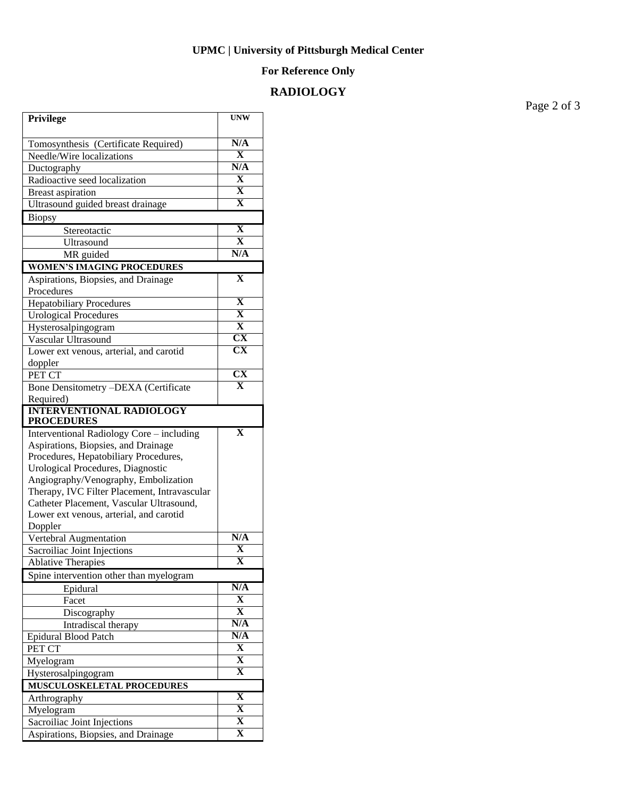### **UPMC | University of Pittsburgh Medical Center**

## **For Reference Only**

## **RADIOLOGY**

**Privilege UNW** Tomosynthesis (Certificate Required) **N/A** Needle/Wire localizations **X**<br>Ductography **N/A Ductography** Radioactive seed localization **X** Breast aspiration **X** Ultrasound guided breast drainage **X Biopsy** Stereotactic **X**<br>
Illtrasound **X** Ultrasound **X**<br>
MR guided **N/A** MR guided **WOMEN'S IMAGING PROCEDURES** Aspirations, Biopsies, and Drainage Procedures **X** Hepatobiliary Procedures **X** Urological Procedures **X** Hysterosalpingogram **X** Vascular Ultrasound Lower ext venous, arterial, and carotid doppler **CX** PET CT CX Bone Densitometry –DEXA (Certificate Required) **X INTERVENTIONAL RADIOLOGY PROCEDURES** Interventional Radiology Core – including Aspirations, Biopsies, and Drainage Procedures, Hepatobiliary Procedures, Urological Procedures, Diagnostic Angiography/Venography, Embolization Therapy, IVC Filter Placement, Intravascular Catheter Placement, Vascular Ultrasound, Lower ext venous, arterial, and carotid Doppler **X** Vertebral Augmentation **N/A**<br>
Sacrolliac Ioint Injections **X** Sacroiliac Joint Injections **X**<br>Ablative Therapies **X Ablative Therapies** Spine intervention other than myelogram Epidural **N/A**<br>
Facet **X** Facet **X** Discography **X**<br>Intradiscal therapy **X**<br> $N/A$ Intradiscal therapy Epidural Blood Patch **N/A**<br>
PET CT X **PET CT** Myelogram **X** Hysterosalpingogram **X MUSCULOSKELETAL PROCEDURES** Arthrography **X**<br>Myelogram **X** Myelogram **X**<br>
Sacrolliac Loint Injections **X** Sacroiliac Joint Injections **X** Aspirations, Biopsies, and Drainage

Page 2 of 3